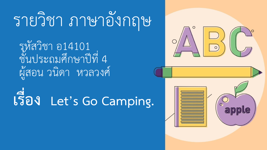# รายวิชา ภาษาอังกฤษ

รหัสวิชา อ14101<br>ชั้นประถมศึกษาปีที่ 4 ผู้สอน วนิดา หวลวงศ์

**เรื่อง Let's Go Camping.**

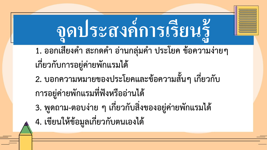#### **จ ดประสงค การเร ี ยนร ้ ู ุ ์**

- 1. ออกเสียงคำ สะกดคำ อ่านกลุ่มคำ ประโยค ข้อความง่ายๆ **เกี่ยวกับกำรอยู่ค่ำยพักแรมได้**
- **2. บอกควำมหมำยของประโยคและข้อควำมสั้นๆ เกี่ยวกับ กำรอยู่ค่ำยพักแรมที่ฟังหรืออ่ำนได้**
- **3. พูดถำม-ตอบง่ำย ๆ เกี่ยวกับสิ่งของอยู่ค่ำยพักแรมได้**
- **4. เขียนให้ข้อมูลเกี่ยวกับตนเองได้**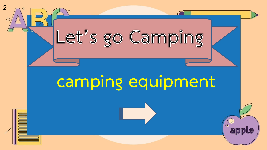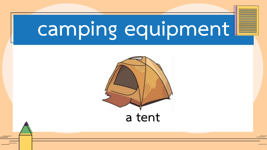

**a tent**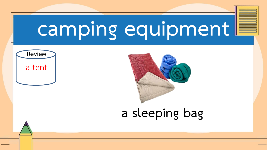



#### **a sleeping bag**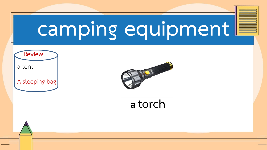



**<sup>a</sup>torch**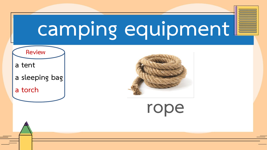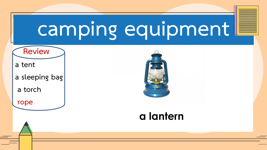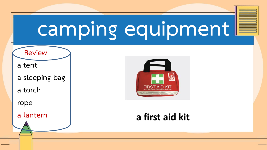**Review**

**a tent**

**a sleeping bag**

**a torch**

**rope**

**a lantern**



#### **a first aid kit**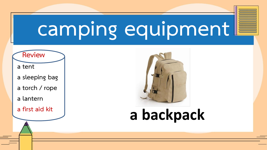

- **a tent**
- **a sleeping bag**
- **a torch / rope**
- **a lantern**
- **a first aid kit**



### **a backpack**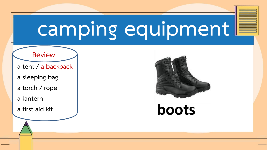#### **Review**

**a tent / a backpack**

**a sleeping bag** 

**a torch / rope**

**a lantern**

**a first aid kit**



**boots**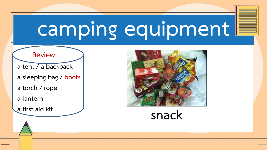#### **Review**

**a tent / a backpack**

- **a sleeping bag / boots**
- **a torch / rope**
- **a lantern**
- 



# **a first aid kit snack**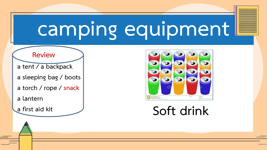#### **Review**

**a tent / a backpack**

- **a sleeping bag / boots**
- **a torch / rope / snack**
- **a lantern**
- 



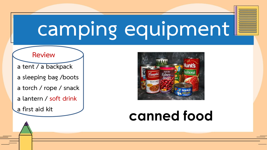#### **Review**

**a tent / a backpack**

- **a sleeping bag /boots**
- **a torch / rope / snack**
- **a lantern / soft drink**
- **a first aid kit**



### **canned food**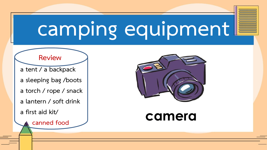#### **Review**

**a tent / a backpack**

**a sleeping bag /boots** 

**a torch / rope / snack**

**a lantern / soft drink**

**a first aid kit/**



### **canned food**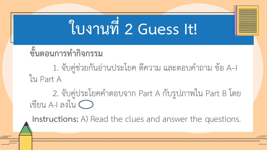# **ใบงำนที่ 2 Guess It!**

### **ขั้นตอนกำรท ำกิจกรรม**

1. จับคู่ช่วยกันอ่านประโยค ตีความ และตอบคำถาม ข้อ A-I ใน Part A

2. จับคู่ประโยคคำตอบจาก Part A กับรูปภาพใน Part B โดย เขียน A-I ลงใน

**Instructions:** A) Read the clues and answer the questions.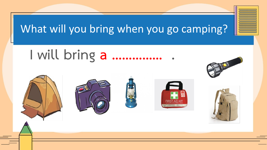



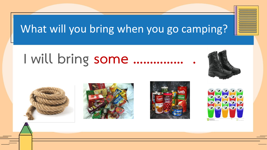### **I will bring some …………… .**







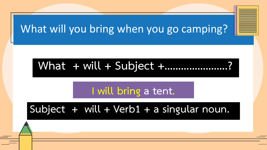#### **What + will + Subject +…………………..?**

#### **I will bring a tent.**

#### **Subject + will + Verb1 + a singular noun.**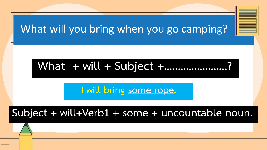#### **What + will + Subject +…………………..?**

**I will bring some rope.**

#### **Subject + will+Verb1 + some + uncountable noun.**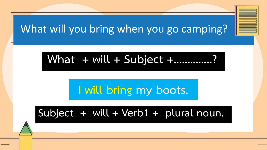#### **What + will + Subject +…………..?**

### **I will bring my boots.**

#### **Subject + will + Verb1 + plural noun.**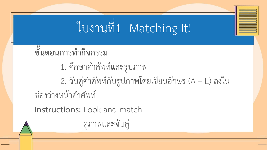## ใบงานที่1 Matching It!

- ี ซึ่นตอนการทำกิจกรรม
	- 1. ศึกษาคำศัพท์และรูปภาพ
- 2. จับคู่คำศัพท์กับรูปภาพโดยเขียนอักษร (A L) ลงใน ช่องว่างหน้าคำศัพท์

**Instructions:** Look and match.

ดูภาพและจับคู่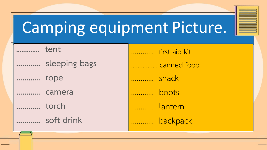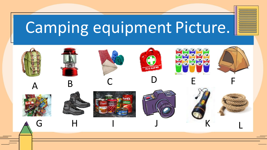## Camping equipment Picture.

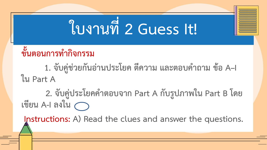# **ใบงำนที่ 2 Guess It!**

### ์ ขั้นตอนการทำกิจกรรม

**1. จับคู่ช่วยกันอ่ำนประโยค ตีควำม และตอบค ำถำม ข้อ A–I ใน Part A**

**2. จับคู่ประโยคค ำตอบจำก Part A กับรูปภำพใน Part B โดย เขียน A-I ลงใน**

**Instructions: A) Read the clues and answer the questions.**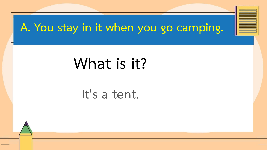### **A. You stay in it when you go camping.**

## **What is it?**

#### **It's a tent.**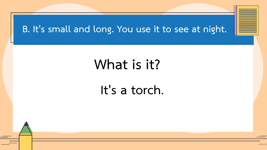#### **B. It's small and long. You use it to see at night.**

### **What is it?**

#### **It's a torch.**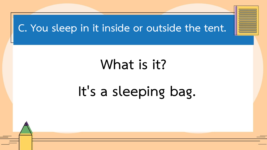#### **C. You sleep in it inside or outside the tent.**

### **What is it?**

### **It's a sleeping bag.**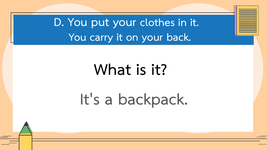**D. You put your clothes in it. You carry it on your back.** 

# **What is it?**

## **It's a backpack.**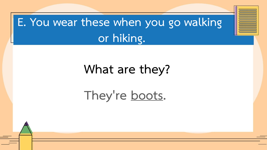### **E. You wear these when you go walking or hiking.**

#### **What are they?**

### **They're boots.**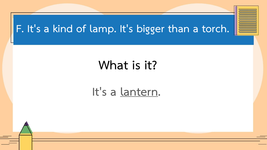#### **F. It's a kind of lamp. It's bigger than a torch.**

### **What is it?**

#### **It's a lantern.**

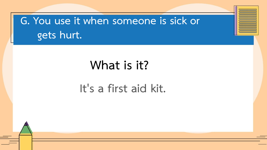**G. You use it when someone is sick or gets hurt.** 

#### **What is it?**

#### **It's a first aid kit.**

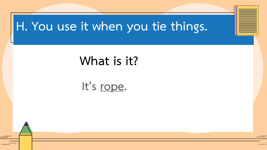#### **H. You use it when you tie things.**

### **What is it?**

#### **It's rope.**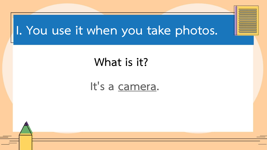### **I. You use it when you take photos.**

#### **What is it?**

#### **It's a camera.**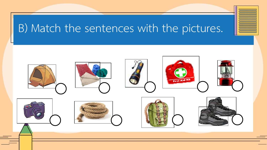### B) Match the sentences with the pictures.